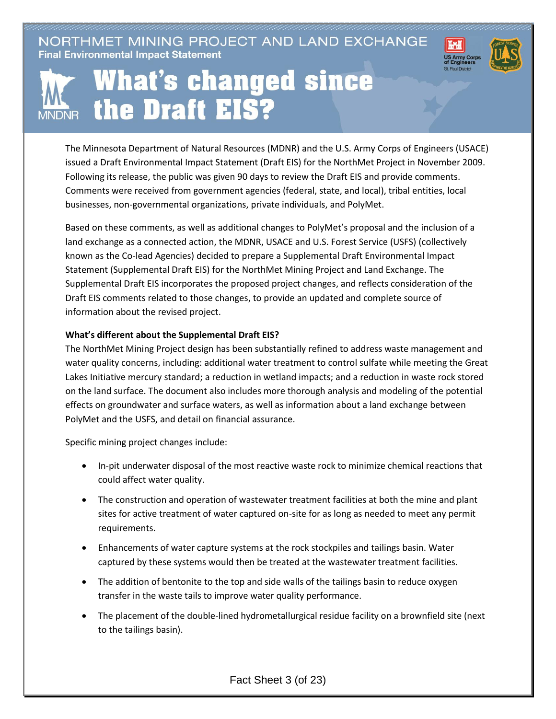NORTHMET MINING PROJECT AND LAND EXCHANGE **Final Environmental Impact Statement** 





## **What's changed since** the Draft EIS?

The Minnesota Department of Natural Resources (MDNR) and the U.S. Army Corps of Engineers (USACE) issued a Draft Environmental Impact Statement (Draft EIS) for the NorthMet Project in November 2009. Following its release, the public was given 90 days to review the Draft EIS and provide comments. Comments were received from government agencies (federal, state, and local), tribal entities, local businesses, non-governmental organizations, private individuals, and PolyMet.

Based on these comments, as well as additional changes to PolyMet's proposal and the inclusion of a land exchange as a connected action, the MDNR, USACE and U.S. Forest Service (USFS) (collectively known as the Co-lead Agencies) decided to prepare a Supplemental Draft Environmental Impact Statement (Supplemental Draft EIS) for the NorthMet Mining Project and Land Exchange. The Supplemental Draft EIS incorporates the proposed project changes, and reflects consideration of the Draft EIS comments related to those changes, to provide an updated and complete source of information about the revised project.

## **What's different about the Supplemental Draft EIS?**

The NorthMet Mining Project design has been substantially refined to address waste management and water quality concerns, including: additional water treatment to control sulfate while meeting the Great Lakes Initiative mercury standard; a reduction in wetland impacts; and a reduction in waste rock stored on the land surface. The document also includes more thorough analysis and modeling of the potential effects on groundwater and surface waters, as well as information about a land exchange between PolyMet and the USFS, and detail on financial assurance.

Specific mining project changes include:

- In-pit underwater disposal of the most reactive waste rock to minimize chemical reactions that could affect water quality.
- The construction and operation of wastewater treatment facilities at both the mine and plant sites for active treatment of water captured on-site for as long as needed to meet any permit requirements.
- Enhancements of water capture systems at the rock stockpiles and tailings basin. Water captured by these systems would then be treated at the wastewater treatment facilities.
- The addition of bentonite to the top and side walls of the tailings basin to reduce oxygen transfer in the waste tails to improve water quality performance.
- The placement of the double-lined hydrometallurgical residue facility on a brownfield site (next to the tailings basin).